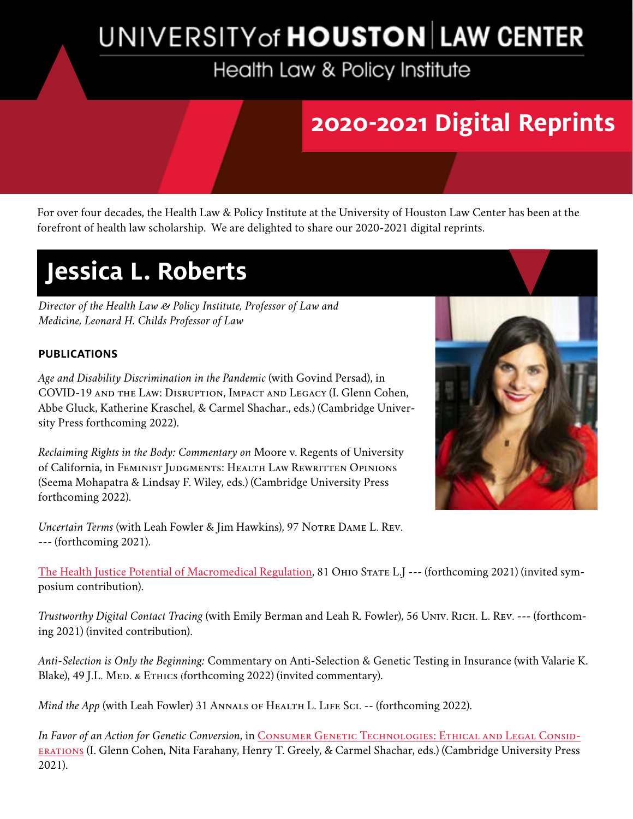# UNIVERSITY of **HOUSTON** LAW CENTER

Health Law & Policy Institute

### **2020-2021 Digital Reprints**

For over four decades, the Health Law & Policy Institute at the University of Houston Law Center has been at the forefront of health law scholarship. We are delighted to share our 2020-2021 digital reprints.

## **Jessica L. Roberts**

*Director of the Health Law & Policy Institute, Professor of Law and Medicine, Leonard H. Childs Professor of Law*

#### **PUBLICATIONS**

*Age and Disability Discrimination in the Pandemic* (with Govind Persad), in COVID-19 and the Law: Disruption, Impact and Legacy (I. Glenn Cohen, Abbe Gluck, Katherine Kraschel, & Carmel Shachar., eds.) (Cambridge University Press forthcoming 2022).

*Reclaiming Rights in the Body: Commentary on* Moore v. Regents of University of California, in Feminist Judgments: Health Law Rewritten Opinions (Seema Mohapatra & Lindsay F. Wiley, eds.) (Cambridge University Press forthcoming 2022).

*Uncertain Terms* (with Leah Fowler & Jim Hawkins), 97 NOTRE DAME L. REV. --- (forthcoming 2021).

[The Health Justice Potential of Macromedical Regulation,](http://The Health Justice Potential of Macromedical Regulation) 81 Оніо Sтате L.J --- (forthcoming 2021) (invited symposium contribution).

*Trustworthy Digital Contact Tracing* (with Emily Berman and Leah R. Fowler), 56 Univ. Rich. L. Rev. --- (forthcoming 2021) (invited contribution).

*Anti-Selection is Only the Beginning:* Commentary on Anti-Selection & Genetic Testing in Insurance (with Valarie K. Blake), 49 J.L. MED. & ETHICS (forthcoming 2022) (invited commentary).

*Mind the App* (with Leah Fowler) 31 ANNALS OF HEALTH L. LIFE SCI. -- (forthcoming 2022).

*In Favor of an Action for Genetic Conversion*, in [Consumer Genetic Technologies: Ethical and Legal Consid](https://www.cambridge.org/us/academic/subjects/law/medico-legal-bioethics-and-health-law/consumer-genetic-technologies-ethical-and-legal-considerations?format=PB)[erations](https://www.cambridge.org/us/academic/subjects/law/medico-legal-bioethics-and-health-law/consumer-genetic-technologies-ethical-and-legal-considerations?format=PB) (I. Glenn Cohen, Nita Farahany, Henry T. Greely, & Carmel Shachar, eds.) (Cambridge University Press 2021).

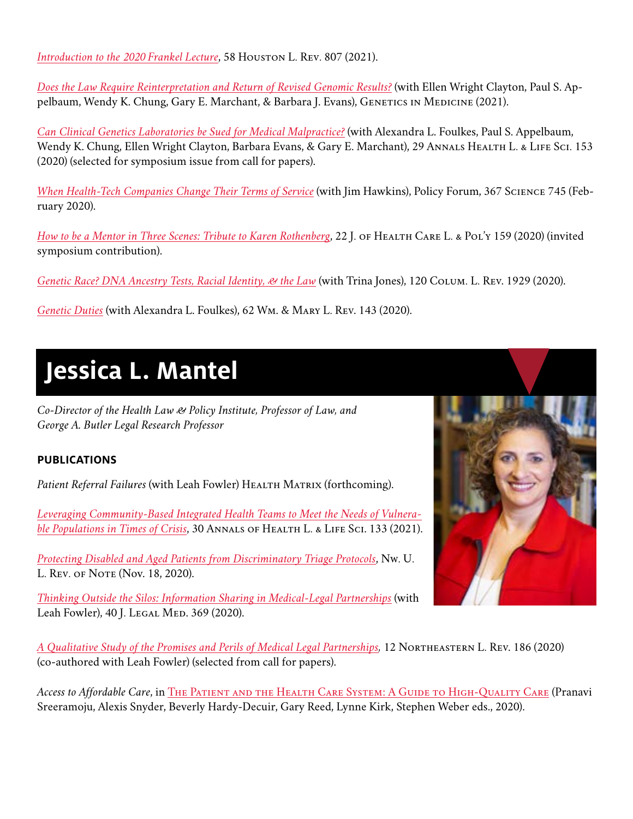*[Introduction to the 2020 Frankel Lecture](https://houstonlawreview.org/article/22267-introduction)*, 58 HOUSTON L. REV. 807 (2021).

*[Does the Law Require Reinterpretation and Return of Revised Genomic Results?](https://www.ncbi.nlm.nih.gov/pmc/articles/PMC8107115/)* (with Ellen Wright Clayton, Paul S. Appelbaum, Wendy K. Chung, Gary E. Marchant, & Barbara J. Evans), GENETICS IN MEDICINE (2021).

*[Can Clinical Genetics Laboratories be Sued for Medical Malpractice?](https://lawecommons.luc.edu/cgi/viewcontent.cgi?article=1481&context=annals)* (with Alexandra L. Foulkes, Paul S. Appelbaum, Wendy K. Chung, Ellen Wright Clayton, Barbara Evans, & Gary E. Marchant), 29 ANNALS HEALTH L. & LIFE SCI. 153 (2020) (selected for symposium issue from call for papers).

*[When Health-Tech Companies Change Their Terms of Service](https://science.sciencemag.org/content/sci/367/6479/745.full.pdf?ijkey=ORB6NP1i8YtBQ&keytype=ref&siteid=sci)* (with Jim Hawkins), Policy Forum, 367 Science 745 (February 2020).

*[How to be a Mentor in Three Scenes: Tribute to Karen Rothenberg](https://digitalcommons.law.umaryland.edu/cgi/viewcontent.cgi?article=1374&context=jhclp)*, 22 J. OF HEALTH CARE L. & POL'Y 159 (2020) (invited symposium contribution).

*[Genetic Race? DNA Ancestry Tests, Racial Identity, & the Law](https://live-columbia-law-review.pantheonsite.io/wp-content/uploads/2020/11/Jones-Roberts-Genetic_Race-DNA_Ancestry_Tests_Racial_Identity_and_the_Law.pdf)* (with Trina Jones), 120 Colum. L. Rev. 1929 (2020).

*[Genetic Duties](https://urldefense.com/v3/__http://r20.rs6.net/tn.jsp?f=001SvuZm_ocJjraK1yRjFhkErch6LDnMIDNqMMnWVdXoi5fdcaawDwNYSDEmNGExp-ZzhY1CeQKiUXptpi8TdgIp-P9b9ZUepfnAbiCUiWmDan_b6qHvnw4NmCpYIMeZc8eSIH1akQEsTFt1VOwFg1Z2Ea5Rru4gBs111_TnEdQdOAweg4Lcwm_V9oWZA_qQk8pcZ-dcoRCpoOtZPV0ZzBPIP7nM8Wgw6N2F54WrgnX7D5Kw9ijU8jk5g==&c=Pk222NOiB_jSM9SZMAVwmPMVzWX22ftMYrVXM_MvxRYvciFp7Gf8yQ==&ch=A0Qqxfv7Cpn4vAfgNGGiVw-Si7sqKHMagX7RAaJBOhiEtE3RsMz4CQ==__;!!LkSTlj0I!VNFuG-Jd-Aeb79sbJxL8A4gzdVCoBGjExbKMvOZ-R-Vf8R5xiMvup6DUDNOclnYJDd8$)* (with Alexandra L. Foulkes), 62 Wm. & Mary L. Rev. 143 (2020).

### **Jessica L. Mantel**

*Co-Director of the Health Law & Policy Institute, Professor of Law, and George A. Butler Legal Research Professor*

#### **PUBLICATIONS**

Patient Referral Failures (with Leah Fowler) HEALTH MATRIX (forthcoming).

*[Leveraging Community-Based Integrated Health Teams to Meet the Needs of Vulnera](https://lawecommons.luc.edu/cgi/viewcontent.cgi?article=1498&context=annals)[ble Populations in Times of Crisis](https://lawecommons.luc.edu/cgi/viewcontent.cgi?article=1498&context=annals)*, 30 Annals of Health L. & Life Sci. 133 (2021).

*[Protecting Disabled and Aged Patients from Discriminatory Triage Protocols](https://blog.northwesternlaw.review/?p=1938)*, Nw. U. L. Rev. of Note (Nov. 18, 2020).

*[Thinking Outside the Silos: Information Sharing in Medical-Legal Partnerships](https://www.tandfonline.com/doi/abs/10.1080/01947648.2020.1854135?journalCode=ulgm20)* (with Leah Fowler), 40 J. LEGAL MED. 369 (2020).



*[A Qualitative Study of the Promises and Perils of Medical Legal Partnerships](https://papers.ssrn.com/sol3/papers.cfm?abstract_id=3694038),* 12 Northeastern L. Rev. 186 (2020) (co-authored with Leah Fowler) (selected from call for papers).

Access to Affordable Care, in THE PATIENT AND THE HEALTH CARE SYSTEM: A GUIDE TO HIGH-QUALITY CARE (Pranavi Sreeramoju, Alexis Snyder, Beverly Hardy-Decuir, Gary Reed, Lynne Kirk, Stephen Weber eds., 2020).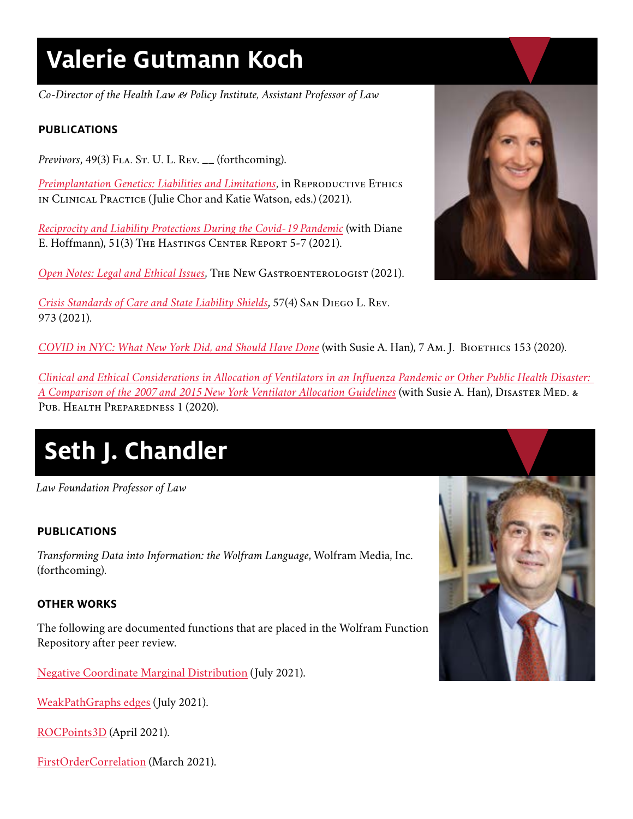## **Valerie Gutmann Koch**

*Co-Director of the Health Law & Policy Institute, Assistant Professor of Law*

#### **PUBLICATIONS**

*Previvors*, 49(3) F<sub>LA</sub>. S<sub>T</sub>. U. L. Rev. \_\_ (forthcoming).

*[Preimplantation Genetics: Liabilities and Limitations](https://global.oup.com/academic/product/reproductive-ethics-in-clinical-practice-9780190873028?cc=us&lang=en&#)*, in REPRODUCTIVE ETHICS in Clinical Practice (Julie Chor and Katie Watson, eds.) (2021).

*[Reciprocity and Liability Protections During the Covid-19 Pandemic](https://www.ncbi.nlm.nih.gov/pmc/articles/PMC8207016/)* (with Diane E. Hoffmann), 51(3) The Hastings Center Report 5-7 (2021).

[Open Notes: Legal and Ethical Issues](https://www.mdedge.com/gihepnews/article/245830/mixed-topics/open-notes-legal-issues), THE NEW GASTROENTEROLOGIST (2021).

*[Crisis Standards of Care and State Liability Shields](https://digital.sandiego.edu/sdlr/vol57/iss4/5/)*, 57(4) San Diego L. Rev. 973 (2021).

*[COVID in NYC: What New York Did, and Should Have Done](https://www.tandfonline.com/doi/full/10.1080/15265161.2020.1777350)* (with Susie A. Han), 7 Am. J. Bioethics 153 (2020).

*[Clinical and Ethical Considerations in Allocation of Ventilators in an Influenza Pandemic or Other Public Health Disaster:](https://www.cambridge.org/core/journals/disaster-medicine-and-public-health-preparedness/article/clinical-and-ethical-considerations-in-allocation-of-ventilators-in-an-influenza-pandemic-or-other-public-health-disaster-a-comparison-of-the-2007-and-2015-new-york-state-ventilator-allocation-guidelines/277BB3C5CC9EC9567E528516FBD2A5CD)  [A Comparison of the 2007 and 2015 New York Ventilator Allocation Guidelines](https://www.cambridge.org/core/journals/disaster-medicine-and-public-health-preparedness/article/clinical-and-ethical-considerations-in-allocation-of-ventilators-in-an-influenza-pandemic-or-other-public-health-disaster-a-comparison-of-the-2007-and-2015-new-york-state-ventilator-allocation-guidelines/277BB3C5CC9EC9567E528516FBD2A5CD)* (with Susie A. Han), DISASTER MED. & Pub. Health Preparedness 1 (2020).

# **Seth J. Chandler**

*Law Foundation Professor of Law*

#### **PUBLICATIONS**

*Transforming Data into Information: the Wolfram Language*, Wolfram Media, Inc. (forthcoming).

#### **OTHER WORKS**

The following are documented functions that are placed in the Wolfram Function Repository after peer review.

[Negative Coordinate Marginal Distribution](https://resources.wolframcloud.com/FunctionRepository/resources/NegativeCoordinateMarginalDistribution/) (July 2021).

[WeakPathGraphs edges](https://resources.wolframcloud.com/FunctionRepository/resources/WeakPathGraphs/) (July 2021).

[ROCPoints3D](https://resources.wolframcloud.com/FunctionRepository/resources/ROCPoints3D/?i=ROCPoints3D&searchapi=https%3A%2F%2Fresources.wolframcloud.com%2FFunctionRepository%2Fsearch) (April 2021).

[FirstOrderCorrelation](https://resources.wolframcloud.com/FunctionRepository/resources/FirstOrderCorrelation/?i=FirstOrderCorrelation&searchapi=https%3A%2F%2Fresources.wolframcloud.com%2FFunctionRepository%2Fsearch) (March 2021).